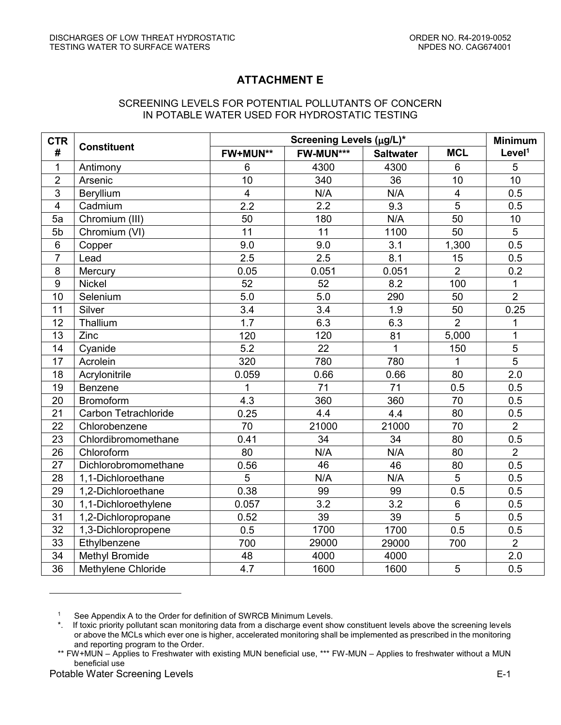## **ATTACHMENT E**

## SCREENING LEVELS FOR POTENTIAL POLLUTANTS OF CONCERN IN POTABLE WATER USED FOR HYDROSTATIC TESTING

| <b>CTR</b><br>#         | <b>Constituent</b>          | Screening Levels (µg/L)* |                 |                  |                | <b>Minimum</b>     |
|-------------------------|-----------------------------|--------------------------|-----------------|------------------|----------------|--------------------|
|                         |                             | FW+MUN**                 | FW-MUN***       | <b>Saltwater</b> | <b>MCL</b>     | Level <sup>1</sup> |
| $\mathbf{1}$            | Antimony                    | $6\phantom{1}$           | 4300            | 4300             | $6\phantom{1}$ | 5                  |
| $\overline{2}$          | Arsenic                     | 10                       | 340             | 36               | 10             | 10                 |
| $\overline{3}$          | Beryllium                   | $\overline{4}$           | N/A             | N/A              | $\overline{4}$ | 0.5                |
| $\overline{\mathbf{4}}$ | Cadmium                     | 2.2                      | 2.2             | 9.3              | $\overline{5}$ | 0.5                |
| 5a                      | Chromium (III)              | 50                       | 180             | N/A              | 50             | 10                 |
| 5b                      | Chromium (VI)               | 11                       | 11              | 1100             | 50             | 5                  |
| $\,6$                   | Copper                      | 9.0                      | 9.0             | 3.1              | 1,300          | 0.5                |
| $\overline{7}$          | Lead                        | 2.5                      | 2.5             | 8.1              | 15             | 0.5                |
| 8                       | Mercury                     | 0.05                     | 0.051           | 0.051            | $\overline{2}$ | 0.2                |
| $\overline{9}$          | <b>Nickel</b>               | 52                       | 52              | 8.2              | 100            | $\mathbf{1}$       |
| 10                      | Selenium                    | 5.0                      | 5.0             | 290              | 50             | $\overline{2}$     |
| 11                      | Silver                      | 3.4                      | 3.4             | 1.9              | 50             | 0.25               |
| 12                      | Thallium                    | 1.7                      | 6.3             | 6.3              | $\overline{2}$ | 1                  |
| 13                      | Zinc                        | 120                      | 120             | 81               | 5,000          | $\overline{1}$     |
| 14                      | Cyanide                     | $\overline{5.2}$         | 22              | 1                | 150            | $\overline{5}$     |
| 17                      | Acrolein                    | 320                      | 780             | 780              | $\mathbf{1}$   | $\overline{5}$     |
| 18                      | Acrylonitrile               | 0.059                    | 0.66            | 0.66             | 80             | 2.0                |
| 19                      | Benzene                     | 1                        | $\overline{71}$ | 71               | 0.5            | 0.5                |
| 20                      | Bromoform                   | 4.3                      | 360             | 360              | 70             | 0.5                |
| 21                      | <b>Carbon Tetrachloride</b> | 0.25                     | 4.4             | 4.4              | 80             | 0.5                |
| 22                      | Chlorobenzene               | 70                       | 21000           | 21000            | 70             | $\overline{2}$     |
| 23                      | Chlordibromomethane         | 0.41                     | 34              | 34               | 80             | 0.5                |
| 26                      | Chloroform                  | 80                       | N/A             | N/A              | 80             | $\overline{2}$     |
| 27                      | Dichlorobromomethane        | 0.56                     | 46              | 46               | 80             | 0.5                |
| 28                      | 1,1-Dichloroethane          | 5                        | N/A             | N/A              | $\overline{5}$ | 0.5                |
| 29                      | 1,2-Dichloroethane          | 0.38                     | 99              | 99               | 0.5            | 0.5                |
| 30                      | 1,1-Dichloroethylene        | 0.057                    | 3.2             | 3.2              | $\,6$          | 0.5                |
| 31                      | 1,2-Dichloropropane         | 0.52                     | 39              | 39               | 5              | 0.5                |
| 32                      | 1,3-Dichloropropene         | 0.5                      | 1700            | 1700             | 0.5            | 0.5                |
| 33                      | Ethylbenzene                | 700                      | 29000           | 29000            | 700            | $\overline{2}$     |
| $\overline{34}$         | <b>Methyl Bromide</b>       | 48                       | 4000            | 4000             |                | 2.0                |
| 36                      | Methylene Chloride          | 4.7                      | 1600            | 1600             | 5              | 0.5                |

<sup>&</sup>lt;sup>1</sup> See Appendix A to the Order for definition of SWRCB Minimum Levels.

 $\overline{a}$ 

<sup>\*.</sup> If toxic priority pollutant scan monitoring data from a discharge event show constituent levels above the screening levels or above the MCLs which ever one is higher, accelerated monitoring shall be implemented as prescribed in the monitoring and reporting program to the Order.

<sup>\*\*</sup> FW+MUN – Applies to Freshwater with existing MUN beneficial use, \*\*\* FW-MUN – Applies to freshwater without a MUN beneficial use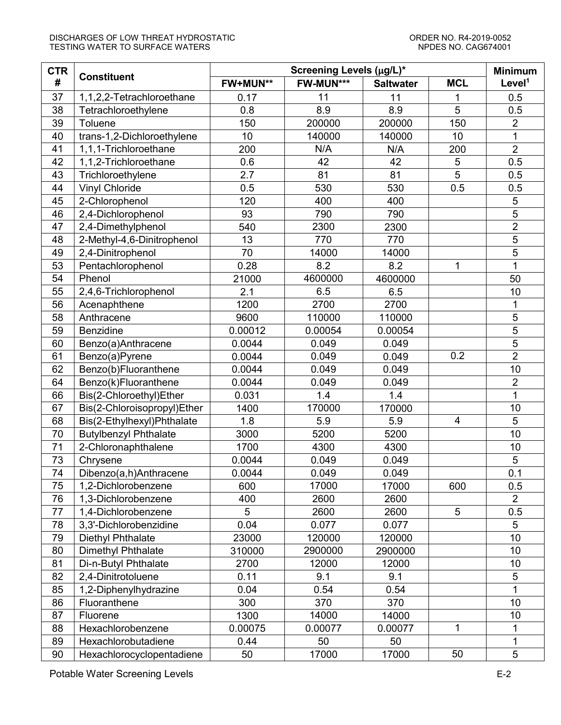## DISCHARGES OF LOW THREAT HYDROSTATIC USE ON DESCRIPTION ORDER NO. R4-2019-0052<br>TESTING WATER TO SURFACE WATERS TO DESCRIPTION ON THE STATE OF CAG674001 TESTING WATER TO SURFACE WATERS

| <b>CTR</b> | <b>Constituent</b>           | Screening Levels (µg/L)* |           |                  |                | <b>Minimum</b>     |
|------------|------------------------------|--------------------------|-----------|------------------|----------------|--------------------|
| #          |                              | FW+MUN**                 | FW-MUN*** | <b>Saltwater</b> | <b>MCL</b>     | Level <sup>1</sup> |
| 37         | 1,1,2,2-Tetrachloroethane    | 0.17                     | 11        | 11               | 1              | 0.5                |
| 38         | Tetrachloroethylene          | 0.8                      | 8.9       | 8.9              | 5              | 0.5                |
| 39         | Toluene                      | 150                      | 200000    | 200000           | 150            | $\overline{2}$     |
| 40         | trans-1,2-Dichloroethylene   | 10                       | 140000    | 140000           | 10             | 1                  |
| 41         | 1,1,1-Trichloroethane        | 200                      | N/A       | N/A              | 200            | $\overline{2}$     |
| 42         | 1,1,2-Trichloroethane        | 0.6                      | 42        | 42               | 5              | 0.5                |
| 43         | Trichloroethylene            | 2.7                      | 81        | 81               | 5              | 0.5                |
| 44         | <b>Vinyl Chloride</b>        | 0.5                      | 530       | 530              | 0.5            | 0.5                |
| 45         | 2-Chlorophenol               | 120                      | 400       | 400              |                | 5                  |
| 46         | 2,4-Dichlorophenol           | 93                       | 790       | 790              |                | $\overline{5}$     |
| 47         | 2,4-Dimethylphenol           | 540                      | 2300      | 2300             |                | $\overline{2}$     |
| 48         | 2-Methyl-4,6-Dinitrophenol   | 13                       | 770       | 770              |                | $\overline{5}$     |
| 49         | 2,4-Dinitrophenol            | 70                       | 14000     | 14000            |                | $\overline{5}$     |
| 53         | Pentachlorophenol            | 0.28                     | 8.2       | 8.2              | 1              | $\overline{1}$     |
| 54         | Phenol                       | 21000                    | 4600000   | 4600000          |                | 50                 |
| 55         | 2,4,6-Trichlorophenol        | 2.1                      | 6.5       | 6.5              |                | 10                 |
| 56         | Acenaphthene                 | 1200                     | 2700      | 2700             |                | 1                  |
| 58         | Anthracene                   | 9600                     | 110000    | 110000           |                | 5                  |
| 59         | Benzidine                    | 0.00012                  | 0.00054   | 0.00054          |                | $\overline{5}$     |
| 60         | Benzo(a)Anthracene           | 0.0044                   | 0.049     | 0.049            |                | $\overline{5}$     |
| 61         | Benzo(a)Pyrene               | 0.0044                   | 0.049     | 0.049            | 0.2            | $\overline{2}$     |
| 62         | Benzo(b)Fluoranthene         | 0.0044                   | 0.049     | 0.049            |                | 10                 |
| 64         | Benzo(k)Fluoranthene         | 0.0044                   | 0.049     | 0.049            |                | $\overline{2}$     |
| 66         | Bis(2-Chloroethyl)Ether      | 0.031                    | 1.4       | 1.4              |                | $\overline{1}$     |
| 67         | Bis(2-Chloroisopropyl)Ether  | 1400                     | 170000    | 170000           |                | 10                 |
| 68         | Bis(2-Ethylhexyl)Phthalate   | 1.8                      | 5.9       | 5.9              | $\overline{4}$ | 5                  |
| 70         | <b>Butylbenzyl Phthalate</b> | 3000                     | 5200      | 5200             |                | 10                 |
| 71         | 2-Chloronaphthalene          | 1700                     | 4300      | 4300             |                | 10                 |
| 73         | Chrysene                     | 0.0044                   | 0.049     | 0.049            |                | 5                  |
| 74         | Dibenzo(a,h)Anthracene       | 0.0044                   | 0.049     | 0.049            |                | 0.1                |
| 75         | 1,2-Dichlorobenzene          | 600                      | 17000     | 17000            | 600            | 0.5                |
| 76         | 1,3-Dichlorobenzene          | 400                      | 2600      | 2600             |                | $\overline{2}$     |
| 77         | 1,4-Dichlorobenzene          | 5                        | 2600      | 2600             | 5              | 0.5                |
| 78         | 3,3'-Dichlorobenzidine       | 0.04                     | 0.077     | 0.077            |                | 5                  |
| 79         | Diethyl Phthalate            | 23000                    | 120000    | 120000           |                | 10                 |
| 80         | <b>Dimethyl Phthalate</b>    | 310000                   | 2900000   | 2900000          |                | 10                 |
| 81         | Di-n-Butyl Phthalate         | 2700                     | 12000     | 12000            |                | 10                 |
| 82         | 2,4-Dinitrotoluene           | 0.11                     | 9.1       | 9.1              |                | 5                  |
| 85         | 1,2-Diphenylhydrazine        | 0.04                     | 0.54      | 0.54             |                | $\overline{1}$     |
| 86         | Fluoranthene                 | 300                      | 370       | 370              |                | 10                 |
| 87         | Fluorene                     | 1300                     | 14000     | 14000            |                | 10                 |
| 88         | Hexachlorobenzene            | 0.00075                  | 0.00077   | 0.00077          | $\mathbf{1}$   | 1                  |
| 89         | Hexachlorobutadiene          | 0.44                     | 50        | 50               |                | 1                  |
| 90         | Hexachlorocyclopentadiene    | 50                       | 17000     | 17000            | 50             | 5                  |

Potable Water Screening Levels **E-2**